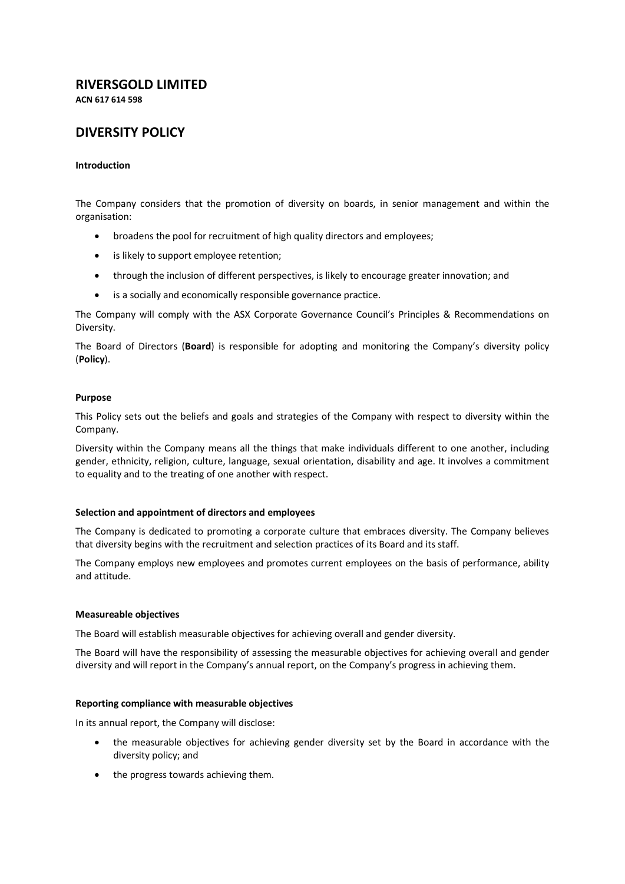# **RIVERSGOLD LIMITED**

**ACN 617 614 598**

## **DIVERSITY POLICY**

### **Introduction**

The Company considers that the promotion of diversity on boards, in senior management and within the organisation:

- broadens the pool for recruitment of high quality directors and employees;
- is likely to support employee retention;
- through the inclusion of different perspectives, is likely to encourage greater innovation; and
- is a socially and economically responsible governance practice.

The Company will comply with the ASX Corporate Governance Council's Principles & Recommendations on Diversity.

The Board of Directors (**Board**) is responsible for adopting and monitoring the Company's diversity policy (**Policy**).

#### **Purpose**

This Policy sets out the beliefs and goals and strategies of the Company with respect to diversity within the Company.

Diversity within the Company means all the things that make individuals different to one another, including gender, ethnicity, religion, culture, language, sexual orientation, disability and age. It involves a commitment to equality and to the treating of one another with respect.

#### **Selection and appointment of directors and employees**

The Company is dedicated to promoting a corporate culture that embraces diversity. The Company believes that diversity begins with the recruitment and selection practices of its Board and its staff.

The Company employs new employees and promotes current employees on the basis of performance, ability and attitude.

#### **Measureable objectives**

The Board will establish measurable objectives for achieving overall and gender diversity.

The Board will have the responsibility of assessing the measurable objectives for achieving overall and gender diversity and will report in the Company's annual report, on the Company's progress in achieving them.

#### **Reporting compliance with measurable objectives**

In its annual report, the Company will disclose:

- the measurable objectives for achieving gender diversity set by the Board in accordance with the diversity policy; and
- the progress towards achieving them.